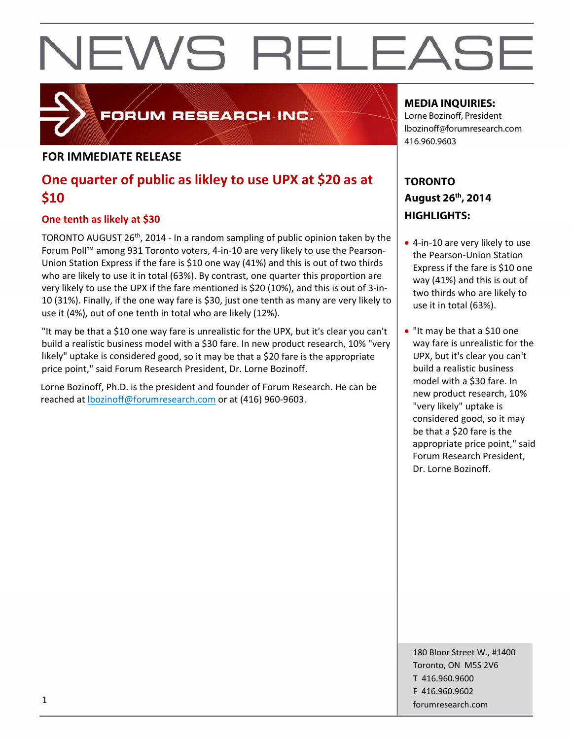## **FORUM RESEARCH INC.**

### **FOR IMMEDIATE RELEASE**

## **One quarter of public as likley to use UPX at \$20 as at \$10**

### **One tenth as likely at \$30**

TORONTO AUGUST 26th, 2014 ‐ In a random sampling of public opinion taken by the Forum Poll™ among 931 Toronto voters, 4‐in‐10 are very likely to use the Pearson‐ Union Station Express if the fare is \$10 one way (41%) and this is out of two thirds who are likely to use it in total (63%). By contrast, one quarter this proportion are very likely to use the UPX if the fare mentioned is \$20 (10%), and this is out of 3‐in‐ 10 (31%). Finally, if the one way fare is \$30, just one tenth as many are very likely to use it (4%), out of one tenth in total who are likely (12%).

"It may be that a \$10 one way fare is unrealistic for the UPX, but it's clear you can't build a realistic business model with a \$30 fare. In new product research, 10% "very likely" uptake is considered good, so it may be that a \$20 fare is the appropriate price point," said Forum Research President, Dr. Lorne Bozinoff.

Lorne Bozinoff, Ph.D. is the president and founder of Forum Research. He can be reached at lbozinoff@forumresearch.com or at (416) 960‐9603.

### **MEDIA INQUIRIES:**

Lorne Bozinoff, President lbozinoff@forumresearch.com 416.960.9603

## **TORONTO August 26th, 2014 HIGHLIGHTS:**

- 4-in-10 are very likely to use the Pearson‐Union Station Express if the fare is \$10 one way (41%) and this is out of two thirds who are likely to use it in total (63%).
- "It may be that a \$10 one way fare is unrealistic for the UPX, but it's clear you can't build a realistic business model with a \$30 fare. In new product research, 10% "very likely" uptake is considered good, so it may be that a \$20 fare is the appropriate price point," said Forum Research President, Dr. Lorne Bozinoff.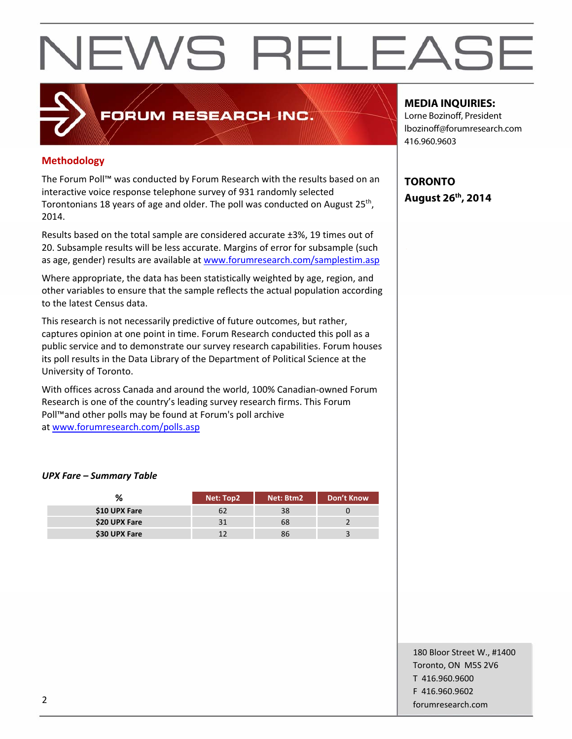## **Methodology**

The Forum Poll™ was conducted by Forum Research with the results based on an interactive voice response telephone survey of 931 randomly selected Torontonians 18 years of age and older. The poll was conducted on August 25<sup>th</sup>, 2014.

FORUM RESEARCH INC.

Results based on the total sample are considered accurate ±3%, 19 times out of 20. Subsample results will be less accurate. Margins of error for subsample (such as age, gender) results are available at www.forumresearch.com/samplestim.asp

Where appropriate, the data has been statistically weighted by age, region, and other variables to ensure that the sample reflects the actual population according to the latest Census data.

This research is not necessarily predictive of future outcomes, but rather, captures opinion at one point in time. Forum Research conducted this poll as a public service and to demonstrate our survey research capabilities. Forum houses its poll results in the Data Library of the Department of Political Science at the University of Toronto.

With offices across Canada and around the world, 100% Canadian‐owned Forum Research is one of the country's leading survey research firms. This Forum Poll™and other polls may be found at Forum's poll archive at www.forumresearch.com/polls.asp

#### *UPX Fare – Summary Table*

| %             | Net: Top2 | Net: Btm2 | <b>Don't Know</b> |
|---------------|-----------|-----------|-------------------|
| \$10 UPX Fare |           |           |                   |
| \$20 UPX Fare |           | 68        |                   |
| \$30 UPX Fare |           | 36        |                   |

#### **MEDIA INQUIRIES:**

Lorne Bozinoff, President lbozinoff@forumresearch.com 416.960.9603

**TORONTO August 26th, 2014** 

180 Bloor Street W., #1400 Toronto, ON M5S 2V6 T 416.960.9600 F 416.960.9602 example to the contract of the contract of the contract of the contract of the contract of the contract of the contract of the contract of the contract of the contract of the contract of the contract of the contract of the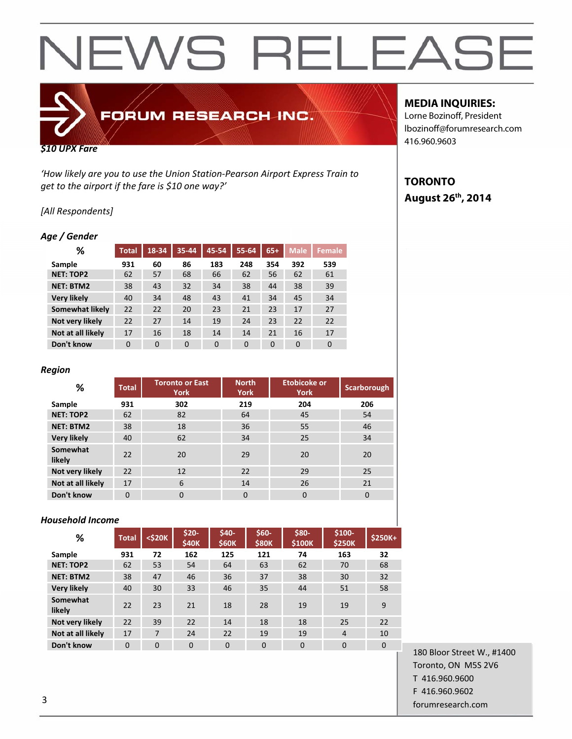# FORUM RESEARCH INC.

#### *\$10 UPX Fare*

*'How likely are you to use the Union Station‐Pearson Airport Express Train to get to the airport if the fare is \$10 one way?'*

#### *[All Respondents]*

#### *Age / Gender*

| ℅                  | <b>Total</b> | $18 - 34$ | 35-44          | 45-54 | $55 - 64$ | $65+$    | <b>Male</b> | <b>Female</b> |
|--------------------|--------------|-----------|----------------|-------|-----------|----------|-------------|---------------|
| Sample             | 931          | 60        | 86             | 183   | 248       | 354      | 392         | 539           |
| <b>NET: TOP2</b>   | 62           | 57        | 68             | 66    | 62        | 56       | 62          | 61            |
| <b>NET: BTM2</b>   | 38           | 43        | 32             | 34    | 38        | 44       | 38          | 39            |
| <b>Very likely</b> | 40           | 34        | 48             | 43    | 41        | 34       | 45          | 34            |
| Somewhat likely    | 22           | 22        | 20             | 23    | 21        | 23       | 17          | 27            |
| Not very likely    | 22           | 27        | 14             | 19    | 24        | 23       | 22          | 22            |
| Not at all likely  | 17           | 16        | 18             | 14    | 14        | 21       | 16          | 17            |
| Don't know         | 0            | $\Omega$  | $\overline{0}$ | 0     | $\Omega$  | $\Omega$ | $\mathbf 0$ | 0             |

#### *Region*

| %                  | <b>Total</b> | <b>Toronto or East</b><br><b>York</b> | <b>North</b><br><b>York</b> | <b>Etobicoke or</b><br><b>York</b> | <b>Scarborough</b> |
|--------------------|--------------|---------------------------------------|-----------------------------|------------------------------------|--------------------|
| Sample             | 931          | 302                                   | 219                         | 204                                | 206                |
| <b>NET: TOP2</b>   | 62           | 82                                    | 64                          | 45                                 | 54                 |
| <b>NET: BTM2</b>   | 38           | 18                                    | 36                          | 55                                 | 46                 |
| <b>Very likely</b> | 40           | 62                                    | 34                          | 25                                 | 34                 |
| Somewhat<br>likely | 22           | 20                                    | 29                          | 20                                 | 20                 |
| Not very likely    | 22           | 12                                    | 22                          | 29                                 | 25                 |
| Not at all likely  | 17           | 6                                     | 14                          | 26                                 | 21                 |
| Don't know         | $\Omega$     | $\Omega$                              | 0                           | $\Omega$                           | $\Omega$           |

#### *Household Income*

| %                  | <b>Total</b> | <\$20K   | \$20-<br><b>\$40K</b> | \$40-<br><b>\$60K</b> | \$60-<br><b>\$80K</b> | \$80-<br>\$100K | \$100-<br><b>\$250K</b> | \$250K+  |
|--------------------|--------------|----------|-----------------------|-----------------------|-----------------------|-----------------|-------------------------|----------|
| Sample             | 931          | 72       | 162                   | 125                   | 121                   | 74              | 163                     | 32       |
| <b>NET: TOP2</b>   | 62           | 53       | 54                    | 64                    | 63                    | 62              | 70                      | 68       |
| <b>NET: BTM2</b>   | 38           | 47       | 46                    | 36                    | 37                    | 38              | 30                      | 32       |
| <b>Very likely</b> | 40           | 30       | 33                    | 46                    | 35                    | 44              | 51                      | 58       |
| Somewhat<br>likely | 22           | 23       | 21                    | 18                    | 28                    | 19              | 19                      | 9        |
| Not very likely    | 22           | 39       | 22                    | 14                    | 18                    | 18              | 25                      | 22       |
| Not at all likely  | 17           | 7        | 24                    | 22                    | 19                    | 19              | $\overline{4}$          | 10       |
| Don't know         | $\Omega$     | $\Omega$ | $\Omega$              | $\Omega$              | $\Omega$              | $\Omega$        | $\Omega$                | $\Omega$ |

#### **MEDIA INQUIRIES:**

Lorne Bozinoff, President lbozinoff@forumresearch.com 416.960.9603

### **TORONTO August 26th, 2014**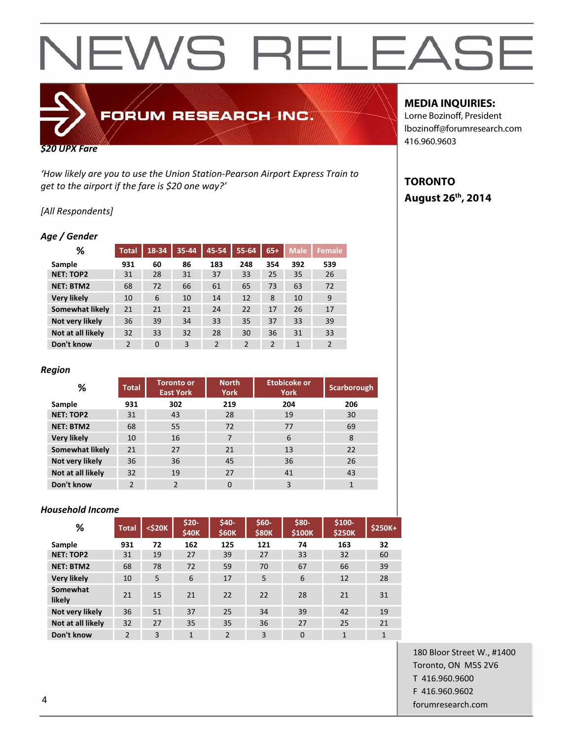# FORUM RESEARCH INC.

#### *\$20 UPX Fare*

*'How likely are you to use the Union Station‐Pearson Airport Express Train to get to the airport if the fare is \$20 one way?'*

#### *[All Respondents]*

#### *Age / Gender*

| ℅                  | <b>Total</b>   | 18-34    | 35-44 | 45-54 | $55 - 64$      | $65+$          | <b>Male</b>  | <b>Female</b>  |
|--------------------|----------------|----------|-------|-------|----------------|----------------|--------------|----------------|
| Sample             | 931            | 60       | 86    | 183   | 248            | 354            | 392          | 539            |
| <b>NET: TOP2</b>   | 31             | 28       | 31    | 37    | 33             | 25             | 35           | 26             |
| <b>NET: BTM2</b>   | 68             | 72       | 66    | 61    | 65             | 73             | 63           | 72             |
| <b>Very likely</b> | 10             | 6        | 10    | 14    | 12             | 8              | 10           | 9              |
| Somewhat likely    | 21             | 21       | 21    | 24    | 22             | 17             | 26           | 17             |
| Not very likely    | 36             | 39       | 34    | 33    | 35             | 37             | 33           | 39             |
| Not at all likely  | 32             | 33       | 32    | 28    | 30             | 36             | 31           | 33             |
| Don't know         | $\overline{2}$ | $\Omega$ | 3     | 2     | $\overline{2}$ | $\overline{2}$ | $\mathbf{1}$ | $\overline{2}$ |

#### *Region*

| %                  | <b>Total</b>   | <b>Toronto or</b><br><b>East York</b> | <b>North</b><br><b>York</b> | <b>Etobicoke or</b><br><b>York</b> | Scarborough |
|--------------------|----------------|---------------------------------------|-----------------------------|------------------------------------|-------------|
| Sample             | 931            | 302                                   | 219                         | 204                                | 206         |
| <b>NET: TOP2</b>   | 31             | 43                                    | 28                          | 19                                 | 30          |
| <b>NET: BTM2</b>   | 68             | 55                                    | 72                          | 77                                 | 69          |
| <b>Very likely</b> | 10             | 16                                    | 7                           | 6                                  | 8           |
| Somewhat likely    | 21             | 27                                    | 21                          | 13                                 | 22          |
| Not very likely    | 36             | 36                                    | 45                          | 36                                 | 26          |
| Not at all likely  | 32             | 19                                    | 27                          | 41                                 | 43          |
| Don't know         | $\mathfrak{p}$ | $\overline{2}$                        | $\Omega$                    | 3                                  | 1           |

#### *Household Income*

| ℅                  | <b>Total</b>   | <\$20K | $$20-$<br>\$40K | \$40-<br><b>\$60K</b> | \$60-<br><b>\$80K</b> | \$80-<br>\$100K | $$100-$<br><b>\$250K</b> | <b>\$250K+</b> |
|--------------------|----------------|--------|-----------------|-----------------------|-----------------------|-----------------|--------------------------|----------------|
| Sample             | 931            | 72     | 162             | 125                   | 121                   | 74              | 163                      | 32             |
| <b>NET: TOP2</b>   | 31             | 19     | 27              | 39                    | 27                    | 33              | 32                       | 60             |
| <b>NET: BTM2</b>   | 68             | 78     | 72              | 59                    | 70                    | 67              | 66                       | 39             |
| <b>Very likely</b> | 10             | 5      | 6               | 17                    | 5                     | 6               | 12                       | 28             |
| Somewhat<br>likely | 21             | 15     | 21              | 22                    | 22                    | 28              | 21                       | 31             |
| Not very likely    | 36             | 51     | 37              | 25                    | 34                    | 39              | 42                       | 19             |
| Not at all likely  | 32             | 27     | 35              | 35                    | 36                    | 27              | 25                       | 21             |
| Don't know         | $\mathfrak{p}$ | 3      | 1               | $\mathfrak{p}$        | 3                     | $\Omega$        | $\overline{1}$           | $\overline{1}$ |

#### 180 Bloor Street W., #1400 Toronto, ON M5S 2V6 T 416.960.9600 F 416.960.9602 example to the contract of the contract of the contract of the contract of the contract of the contract of the contract of the contract of the contract of the contract of the contract of the contract of the contract of the

#### **MEDIA INQUIRIES:**

Lorne Bozinoff, President lbozinoff@forumresearch.com 416.960.9603

### **TORONTO August 26th, 2014**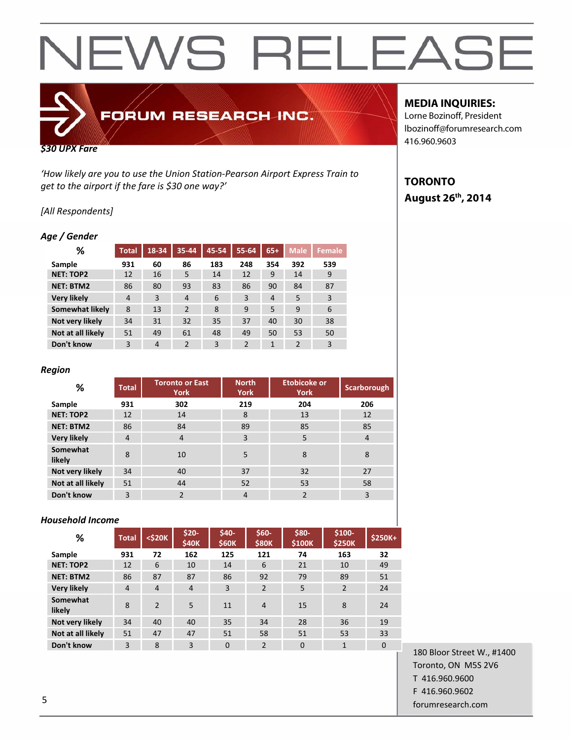# FORUM RESEARCH INC.

#### *\$30 UPX Fare*

*'How likely are you to use the Union Station‐Pearson Airport Express Train to get to the airport if the fare is \$30 one way?'*

#### *[All Respondents]*

#### *Age / Gender*

| %                  | <b>Total</b> | $18 - 34$ | 35-44          | 45-54 | 55-64          | $65+$        | <b>Male</b>    | <b>Female</b> |
|--------------------|--------------|-----------|----------------|-------|----------------|--------------|----------------|---------------|
| Sample             | 931          | 60        | 86             | 183   | 248            | 354          | 392            | 539           |
| <b>NET: TOP2</b>   | 12           | 16        | 5              | 14    | 12             | 9            | 14             | 9             |
| <b>NET: BTM2</b>   | 86           | 80        | 93             | 83    | 86             | 90           | 84             | 87            |
| <b>Very likely</b> | 4            | 3         | $\overline{4}$ | 6     | 3              | 4            | 5              | 3             |
| Somewhat likely    | 8            | 13        | $\overline{2}$ | 8     | 9              | 5            | 9              | 6             |
| Not very likely    | 34           | 31        | 32             | 35    | 37             | 40           | 30             | 38            |
| Not at all likely  | 51           | 49        | 61             | 48    | 49             | 50           | 53             | 50            |
| Don't know         | 3            | 4         | $\overline{2}$ | 3     | $\overline{2}$ | $\mathbf{1}$ | $\overline{2}$ | 3             |

#### *Region*

| %                  | <b>Total</b>   | <b>Toronto or East</b><br><b>York</b> | <b>North</b><br>York | <b>Etobicoke or</b><br><b>York</b> | Scarborough |
|--------------------|----------------|---------------------------------------|----------------------|------------------------------------|-------------|
| Sample             | 931            | 302                                   | 219                  | 204                                | 206         |
| <b>NET: TOP2</b>   | 12             | 14                                    | 8                    | 13                                 | 12          |
| <b>NET: BTM2</b>   | 86             | 84                                    | 89                   | 85                                 | 85          |
| <b>Very likely</b> | $\overline{4}$ | $\overline{4}$                        | 3                    | 5                                  | 4           |
| Somewhat<br>likely | 8              | 10                                    | 5                    | 8                                  | 8           |
| Not very likely    | 34             | 40                                    | 37                   | 32                                 | 27          |
| Not at all likely  | 51             | 44                                    | 52                   | 53                                 | 58          |
| Don't know         | 3              | 2                                     | $\overline{4}$       | $\overline{2}$                     | 3           |

#### *Household Income*

| %                  | <b>Total</b>   | $<$ \$20 $K$   | \$20-<br>\$40K | \$40-<br><b>\$60K</b> | \$60-<br><b>\$80K</b> | \$80-<br>\$100K | $$100-$<br><b>\$250K</b> | \$250K+  |
|--------------------|----------------|----------------|----------------|-----------------------|-----------------------|-----------------|--------------------------|----------|
| Sample             | 931            | 72             | 162            | 125                   | 121                   | 74              | 163                      | 32       |
| <b>NET: TOP2</b>   | 12             | 6              | 10             | 14                    | 6                     | 21              | 10                       | 49       |
| <b>NET: BTM2</b>   | 86             | 87             | 87             | 86                    | 92                    | 79              | 89                       | 51       |
| <b>Very likely</b> | $\overline{4}$ | $\overline{4}$ | $\overline{4}$ | 3                     | $\overline{2}$        | 5               | 2                        | 24       |
| Somewhat<br>likely | 8              | $\overline{2}$ | 5              | 11                    | $\overline{4}$        | 15              | 8                        | 24       |
| Not very likely    | 34             | 40             | 40             | 35                    | 34                    | 28              | 36                       | 19       |
| Not at all likely  | 51             | 47             | 47             | 51                    | 58                    | 51              | 53                       | 33       |
| Don't know         | 3              | 8              | 3              | $\Omega$              | $\overline{2}$        | $\Omega$        | 1                        | $\Omega$ |

#### **MEDIA INQUIRIES:**

Lorne Bozinoff, President lbozinoff@forumresearch.com 416.960.9603

### **TORONTO August 26th, 2014**